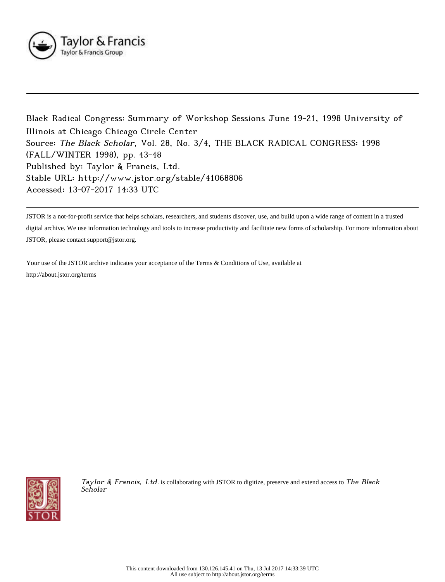

Black Radical Congress: Summary of Workshop Sessions June 19-21, 1998 University of Illinois at Chicago Chicago Circle Center Source: The Black Scholar, Vol. 28, No. 3/4, THE BLACK RADICAL CONGRESS: 1998 (FALL/WINTER 1998), pp. 43-48 Published by: Taylor & Francis, Ltd. Stable URL: http://www.jstor.org/stable/41068806 Accessed: 13-07-2017 14:33 UTC

JSTOR is a not-for-profit service that helps scholars, researchers, and students discover, use, and build upon a wide range of content in a trusted digital archive. We use information technology and tools to increase productivity and facilitate new forms of scholarship. For more information about JSTOR, please contact support@jstor.org.

Your use of the JSTOR archive indicates your acceptance of the Terms & Conditions of Use, available at http://about.jstor.org/terms



Taylor & Francis, Ltd. is collaborating with JSTOR to digitize, preserve and extend access to The Black Scholar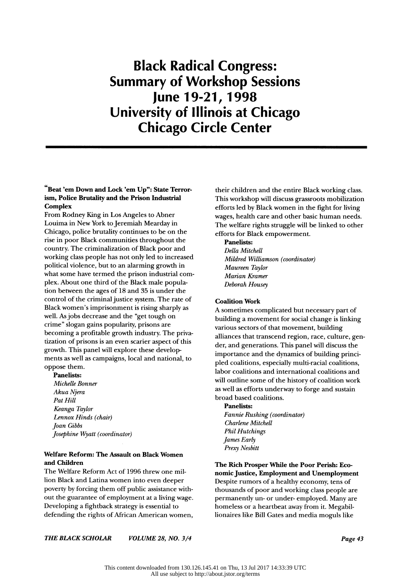## Black Radical Congress: Summary of Workshop Sessions June 19-21, 1998 University of Illinois at Chicago Chicago Circle Center

#### "Beat 'em Down and Lock 'em Up": State Terror ism, Police Brutality and the Prison Industrial Complex

 From Rodney King in Los Angeles to Abner Louima in New York to Jeremiah Mearday in Chicago, police brutality continues to be on the rise in poor Black communities throughout the country. The criminalization of Black poor and working class people has not only led to increased political violence, but to an alarming growth in what some have termed the prison industrial com plex. About one third of the Black male popula tion between the ages of 18 and 35 is under the control of the criminal justice system. The rate of Black women's imprisonment is rising sharply as well. As jobs decrease and the "get tough on crime" slogan gains popularity, prisons are becoming a profitable growth industry. The priva tization of prisons is an even scarier aspect of this growth. This panel will explore these develop ments as well as campaigns, local and national, to oppose them.

#### Panelists:

 Michelle Bonner Akua Njera Pat Hill Keanga Taylor Lennox Hinds (chair) Joan Gibbs Josephine Wyatt (coordinator)

#### Welfare Reform: The Assault on Black Women and Children

 The Welfare Reform Act of 1996 threw one mil lion Black and Latina women into even deeper poverty by forcing them off public assistance with out the guarantee of employment at a living wage. Developing a fightback strategy is essential to defending the rights of African American women,

 their children and the entire Black working class. This workshop will discuss grassroots mobilization efforts led by Black women in the fight for living wages, health care and other basic human needs. The welfare rights struggle will be linked to other efforts for Black empowerment.

 Panelists: Delia Mitchell Mildred Williamson (coordinator) Maureen Taylor Marian Kramer Deborah Housey

#### Coalition Work

 A sometimes complicated but necessary part of building a movement for social change is linking various sectors of that movement, building alliances that transcend region, race, culture, gen der, and generations. This panel will discuss the importance and the dynamics of building princi pled coalitions, especially multi-racial coalitions, labor coalitions and international coalitions and will outline some of the history of coalition work as well as efforts underway to forge and sustain broad based coalitions.

#### Panelists:

 Fannie Rushing (coordinator) Charlene Mitchell Phil Hutchings James Early Prexy Nesbitt

 The Rich Prosper While the Poor Perish: Eco nomic Justice, Employment and Unemployment Despite rumors of a healthy economy, tens of thousands of poor and working class people are permanently un- or under- employed. Many are homeless or a heartbeat away from it. Megabil lionaires like Bill Gates and media moguls like

THE BLACK SCHOLAR VOLUME 28, NO. 3/4 Page 43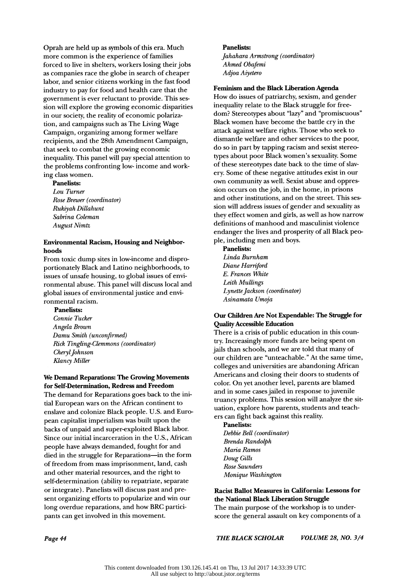Oprah are held up as symbols of this era. Much more common is the experience of families forced to live in shelters, workers losing their jobs as companies race the globe in search of cheaper labor, and senior citizens working in the fast food industry to pay for food and health care that the government is ever reluctant to provide. This ses sion will explore the growing economic disparities in our society, the reality of economic polariza tion, and campaigns such as The Living Wage Campaign, organizing among former welfare recipients, and the 28th Amendment Campaign, that seek to combat the growing economic inequality. This panel will pay special attention to the problems confronting low- income and work ing class women.

 Panelists: Lou Turner Rose Brewer (coordinator) Rukiyah Dillahunt Sabrina Coleman August Nimtz

#### Environmental Racism, Housing and Neighbor hoods

 From toxic dump sites in low-income and dispro portionately Black and Latino neighborhoods, to issues of unsafe housing, to global issues of envi ronmental abuse. This panel will discuss local and global issues of environmental justice and envi ronmental racism.

Panelists:

 Connie Tucker Angela Brown Damu Smith (unconfirmed) Rick Tingling-Clemmons (coordinator) Cheryl Johnson Klancy Miller

#### We Demand Reparations: The Growing Movements

 for Self -Determination, Redress and Freedom The demand for Reparations goes back to the ini tial European wars on the African continent to enslave and colonize Black people. U.S. and Euro pean capitalist imperialism was built upon the backs of unpaid and super-exploited Black labor. Since our initial incarceration in the U.S., African people have always demanded, fought for and died in the struggle for Reparations-in the form of freedom from mass imprisonment, land, cash and other material resources, and the right to self-determination (ability to repatriate, separate or integrate) . Panelists will discuss past and pre sent organizing efforts to popularize and win our long overdue reparations, and how BRC partici pants can get involved in this movement.

#### Panelists:

 Jahahara Armstrong (coordinator) Ahmed Obafemi Adjoa Aiyetero

#### Feminism and the Black Liberation Agenda

 How do issues of patriarchy, sexism, and gender inequality relate to the Black struggle for free dom? Stereotypes about "lazy" and "promiscuous" Black women have become the battle cry in the attack against welfare rights. Those who seek to dismantle welfare and other services to the poor, do so in part by tapping racism and sexist stereo types about poor Black women's sexuality. Some of these stereotypes date back to the time of slav ery. Some of these negative attitudes exist in our own community as well. Sexist abuse and oppres sion occurs on the job, in the home, in prisons and other institutions, and on the street. This ses sion will address issues of gender and sexuality as they effect women and girls, as well as how narrow definitions of manhood and masculinist violence endanger the lives and prosperity of all Black peo ple, including men and boys.

#### Panelists:

 Linda Burnham Diane Harnford Ε. Frances White Leith Mullings Lynette Jackson (coordinator) Asinamata Umoja

#### Our Children Are Not Expendable: The Struggle for Quality Accessible Education

 There is a crisis of public education in this coun try. Increasingly more funds are being spent on jails than schools, and we are told that many of our children are "unteachable." At the same time, colleges and universities are abandoning African Americans and closing their doors to students of color. On yet another level, parents are blamed and in some cases jailed in response to juvenile truancy problems. This session will analyze the sit uation, explore how parents, students and teach ers can fight back against this reality.

 Panelists: Debbie Bell (coordinator) Brenda Randolph Mana Ramos Doug Gills Rose Saunders Monique Washington

#### Racist Ballot Measures in California: Lessons for the National Black Liberation Struggle

 The main purpose of the workshop is to under score the general assault on key components of a

Page 44 **THE BLACK SCHOLAR VOLUME 28, NO. 3/4**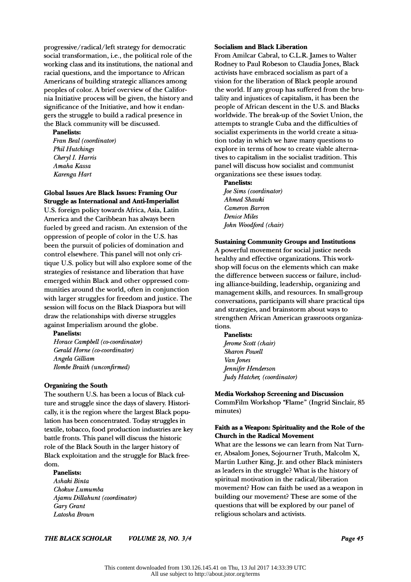progressive/radical/left strategy for democratic social transformation, i.e., the political role of the working class and its institutions, the national and racial questions, and the importance to African Americans of building strategic alliances among peoples of color. A brief overview of the Califor nia Initiative process will be given, the history and significance of the Initiative, and how it endan gers the struggle to build a radical presence in the Black community will be discussed.

Panelists:

 Fran Beat (coordinator) Phil Hutchings Cheryl I. Harris Amaha Kassa Karenga Hart

#### Global Issues Are Black Issues: Framing Our Struggle as International and Anti-Imperialist

 U.S. foreign policy towards Africa, Asia, Latin America and the Caribbean has always been fueled by greed and racism. An extension of the oppression of people of color in the U.S. has been the pursuit of policies of domination and control elsewhere. This panel will not only cri tique U.S. policy but will also explore some of the strategies of resistance and liberation that have emerged within Black and other oppressed com munities around the world, often in conjunction with larger struggles for freedom and justice. The session will focus on the Black Diaspora but will draw the relationships with diverse struggles against Imperialism around the globe.

#### Panelists:

 Horace Campbell (co-coordinator) Gerald Home (co-coordinator) Angela Gilliam Ilombe Braith (unconfirmed)

#### Organizing the South

 The southern U.S. has been a locus of Black cul ture and struggle since the days of slavery. Histori cally, it is the region where the largest Black popu lation has been concentrated. Today struggles in textile, tobacco, food production industries are key batde fronts. This panel will discuss the historic role of the Black South in the larger history of Black exploitation and the struggle for Black free dom.

#### Panelists:

 Ashaki Binta Chokwe Lumumba Ajamu Dillahunt (coordinator) Gary Grant Latosha Brown

#### Socialism and Black Liberation

 From Amilcar Cabral, to C.L.R. James to Walter Rodney to Paul Robeson to Claudia Jones, Black activists have embraced socialism as part of a vision for the liberation of Black people around the world. If any group has suffered from the bru tality and injustices of capitalism, it has been the people of African descent in the U.S. and Blacks worldwide. The break-up of the Soviet Union, the attempts to strangle Cuba and the difficulties of socialist experiments in the world create a situa tion today in which we have many questions to explore in terms of how to create viable alterna tives to capitalism in the socialist tradition. This panel will discuss how socialist and communist organizations see these issues today.

#### Panelists:

 Joe Sims (coordinator) Ahmed Shawki Cameron Barron Denice Miles John Woodford (chair)

 Sustaining Community Groups and Institutions A powerful movement for social justice needs healthy and effective organizations. This work shop will focus on the elements which can make the difference between success or failure, includ ing alliance-building, leadership, organizing and management skills, and resources. In small-group conversations, participants will share practical tips and strategies, and brainstorm about ways to strengthen African American grassroots organiza tions.

#### Panelists:

 Jerome Scott (chair) Sharon Powell Van Jones Jennifer Henderson Judy Hatcher, (coordinator)

#### Media Workshop Screening and Discussion

 CommFilm Workshop "Flame" (Ingrid Sinclair, 85 minutes)

#### Faith as a Weapon: Spirituality and the Role of the Church in the Radical Movement

 What are the lessons we can learn from Nat Turn er, Absalom Jones, Sojourner Truth, Malcolm X, Martin Luther King, Jr. and other Black ministers as leaders in the struggle? What is the history of spiritual motivation in the radical/liberation movement? How can faith be used as a weapon in building our movement? These are some of the questions that will be explored by our panel of religious scholars and activists.

THE BLACK SCHOLAR VOLUME 28, NO. 3/4 Page 45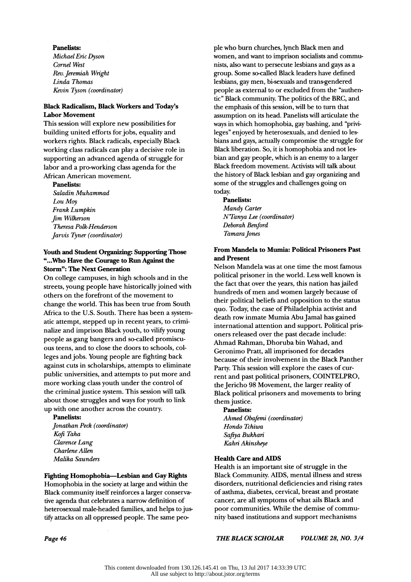#### Panelists:

Michael Eric Dyson Cornel West Rev. Jeremiah Wright Linda Thomas Kevin Tyson (coordinator)

#### Black Radicalism, Black Workers and Today's Labor Movement

 This session will explore new possibilities for building united efforts for jobs, equality and workers rights. Black radicals, especially Black working class radicals can play a decisive role in supporting an advanced agenda of struggle for labor and a pro-working class agenda for the African American movement.

Panelists:

 Saladin Muhammad Lou Moy Frank Lumpkin Jim Wilkerson Theresa Polk-Henderson Jarvis Tyner (coordinator)

#### Youth and Student Organizing: Supporting Those "...Who Have the Courage to Run Against the Storm": The Next Generation

 On college campuses, in high schools and in the streets, young people have historically joined with others on the forefront of the movement to change the world. This has been true from South Africa to the U.S. South. There has been a system atic attempt, stepped up in recent years, to crimi nalize and imprison Black youth, to vilify young people as gang bangers and so-called promiscu ous teens, and to close the doors to schools, col leges and jobs. Young people are fighting back against cuts in scholarships, attempts to eliminate public universities, and attempts to put more and more working class youth under the control of the criminal justice system. This session will talk about those struggles and ways for youth to link up with one another across the country.

#### Panelists:

 Jonathan Peck (coordinator) Kofi Taha Clarence Lang Charlene Allen Malika Saunders

#### Fighting Homophobia-Lesbian and Gay Rights Homophobia in the society at large and within the Black community itself reinforces a larger conserva-

 tive agenda that celebrates a narrow definition of heterosexual male-headed families, and helps to jus tify attacks on all oppressed people. The same peo ple who burn churches, lynch Black men and women, and want to imprison socialists and commu nists, also want to persecute lesbians and gays as a group. Some so-called Black leaders have defined lesbians, gay men, bi-sexuals and trans-gendered people as external to or excluded from the "authen tic" Black community. The politics of the BRC, and the emphasis of this session, will be to turn that assumption on its head. Panelists will articulate the ways in which homophobia, gay bashing, and "privi leges" enjoyed by heterosexuals, and denied to les bians and gays, actually compromise the struggle for Black liberation. So, it is homophobia and not les bian and gay people, which is an enemy to a larger Black freedom movement. Activists will talk about the history of Black lesbian and gay organizing and some of the struggles and challenges going on today.

#### Panelists:

 Mandy Carter NTanya Lee (coordinator) Deborah Benford Tamara Jones

#### From Mandela to Mumia: Political Prisoners Past and Present

 Nelson Mandela was at one time the most famous political prisoner in the world. Less well known is the fact that over the years, this nation has jailed hundreds of men and women largely because of their political beliefs and opposition to the status quo. Today, the case of Philadelphia activist and death row inmate Mumia Abu Jamal has gained international attention and support. Political pris oners released over the past decade include: Ahmad Rahman, Dhoruba bin Wahad, and Geronimo Pratt, all imprisoned for decades because of their involvement in the Black Panther Party. This session will explore the cases of cur rent and past political prisoners, COINTELPRO, the Jericho 98 Movement, the larger reality of Black political prisoners and movements to bring them justice.

#### Panelists:

 Ahmed Obafemi (coordinator) Hondo Tchiwa Safiya Bukhan Kahri Akinsheye

#### Health Care and AIDS

 Health is an important site of struggle in the Black Community. AIDS, mental illness and stress disorders, nutritional deficiencies and rising rates of asthma, diabetes, cervical, breast and prostate cancer, are all symptoms of what ails Black and poor communities. While the demise of commu nity based institutions and support mechanisms

Page 46 **THE BLACK SCHOLAR VOLUME 28, NO. 3/4**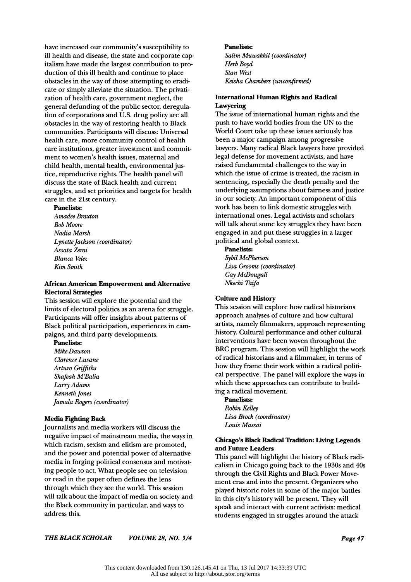have increased our community's susceptibility to ill health and disease, the state and corporate cap italism have made the largest contribution to pro duction of this ill health and continue to place obstacles in the way of those attempting to eradi cate or simply alleviate the situation. The privati zation of health care, government neglect, the general defunding of the public sector, deregula tion of corporations and U.S. drug policy are all obstacles in the way of restoring health to Black communities. Participants will discuss: Universal health care, more community control of health care institutions, greater investment and commit ment to women's health issues, maternal and child health, mental health, environmental jus tice, reproductive rights. The health panel will discuss the state of Black health and current struggles, and set priorities and targets for health care in the 21st century.

#### Panelists:

 Amadee Braxton Bob Moore Nadia Marsh Lynette Jackson (coordinator) Assata Zerai Bianca Velez Kim Smith

#### African American Empowerment and Alternative Electoral Strategies

 This session will explore the potential and the limits of electoral politics as an arena for struggle. Participants will offer insights about patterns of Black political participation, experiences in cam paigns, and third party developments.

 Panelists: Mike Dawson Clarence Lusane Arturo Onffiths Shafeah M'Balia Larry Adams Kenneth Jones Jamala Rogers (coordinator)

#### Media Fighting Back

 Journalists and media workers will discuss the negative impact of mainstream media, the ways in which racism, sexism and elitism are promoted, and the power and potential power of alternative media in forging political consensus and motivat ing people to act. What people see on television or read in the paper often defines the lens through which they see the world. This session will talk about the impact of media on society and the Black community in particular, and ways to address this.

#### Panelists:

 Salim Muwakkil (coordinator) Herb Boyd Stan West Keisha Chambers (unconfirmed)

#### International Human Rights and Radical **Lawyering**

 The issue of international human rights and the push to have world bodies from the UN to the World Court take up these issues seriously has been a major campaign among progressive lawyers. Many radical Black lawyers have provided legal defense for movement activists, and have raised fundamental challenges to the way in which the issue of crime is treated, the racism in sentencing, especially the death penalty and the underlying assumptions about fairness and justice in our society. An important component of this work has been to link domestic struggles with international ones. Legal activists and scholars will talk about some key struggles they have been engaged in and put these struggles in a larger political and global context.

#### Panelists:

 Sybil McPherson Lisa Grooms (coordinator) Gay McDougall Nkechi Taifa

#### Culture and History

 This session will explore how radical historians approach analyses of culture and how cultural artists, namely filmmakers, approach representing history. Cultural performance and other cultural interventions have been woven throughout the BRC program. This session will highlight the work of radical historians and a filmmaker, in terms of how they frame their work within a radical politi cal perspective. The panel will explore the ways in which these approaches can contribute to build ing a radical movement.

 Panelists: Robin Kelley Lisa Brock (coordinator) Louis Massai

#### Chicago's Black Radical Tradition: Living Legends and Future Leaders

 This panel will highlight the history of Black radi calism in Chicago going back to the 1930s and 40s through the Civil Rights and Black Power Move ment eras and into the present. Organizers who played historic roles in some of the major battles in this city's history will be present. They will speak and interact with current activists: medical students engaged in struggles around the attack

THE BLACK SCHOLAR VOLUME 28, NO. 3/4 Page 47